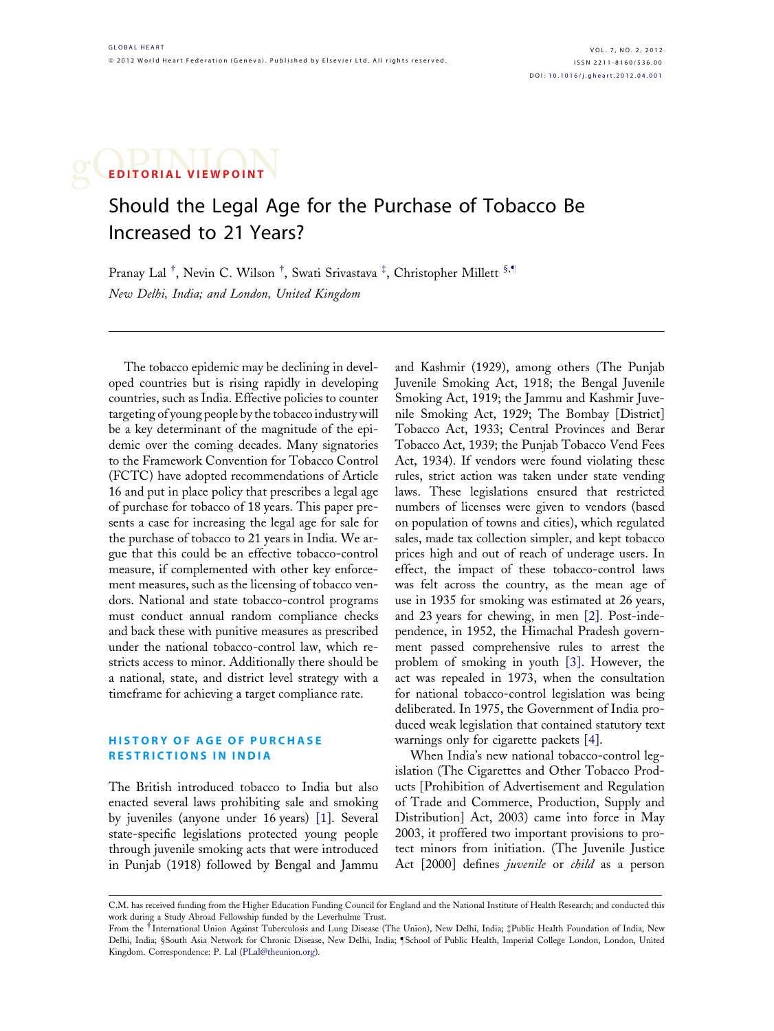# **EDITORIAL VIEWPOINT**

# Should the Legal Age for the Purchase of Tobacco Be Increased to 21 Years?

Pranay Lal <sup>†</sup>, Nevin C. Wilson <sup>†</sup>, Swati Srivastava <sup>‡</sup>, Christopher Millett <sup>§,¶</sup> New Delhi, India; and London, United Kingdom

The tobacco epidemic may be declining in developed countries but is rising rapidly in developing countries, such as India. Effective policies to counter targeting of young people by the tobacco industry will be a key determinant of the magnitude of the epidemic over the coming decades. Many signatories to the Framework Convention for Tobacco Control (FCTC) have adopted recommendations of Article 16 and put in place policy that prescribes a legal age of purchase for tobacco of 18 years. This paper presents a case for increasing the legal age for sale for the purchase of tobacco to 21 years in India. We argue that this could be an effective tobacco-control measure, if complemented with other key enforcement measures, such as the licensing of tobacco vendors. National and state tobacco-control programs must conduct annual random compliance checks and back these with punitive measures as prescribed under the national tobacco-control law, which restricts access to minor. Additionally there should be a national, state, and district level strategy with a timeframe for achieving a target compliance rate.

## HISTORY OF AGE OF PURCHASE RESTRICTIONS IN INDIA

The British introduced tobacco to India but also enacted several laws prohibiting sale and smoking by juveniles (anyone under 16 years) [\[1\]](#page-3-0). Several state-specific legislations protected young people through juvenile smoking acts that were introduced in Punjab (1918) followed by Bengal and Jammu and Kashmir (1929), among others (The Punjab Juvenile Smoking Act, 1918; the Bengal Juvenile Smoking Act, 1919; the Jammu and Kashmir Juvenile Smoking Act, 1929; The Bombay [District] Tobacco Act, 1933; Central Provinces and Berar Tobacco Act, 1939; the Punjab Tobacco Vend Fees Act, 1934). If vendors were found violating these rules, strict action was taken under state vending laws. These legislations ensured that restricted numbers of licenses were given to vendors (based on population of towns and cities), which regulated sales, made tax collection simpler, and kept tobacco prices high and out of reach of underage users. In effect, the impact of these tobacco-control laws was felt across the country, as the mean age of use in 1935 for smoking was estimated at 26 years, and 23 years for chewing, in men [\[2\].](#page-3-0) Post-independence, in 1952, the Himachal Pradesh government passed comprehensive rules to arrest the problem of smoking in youth [\[3\]](#page-3-0). However, the act was repealed in 1973, when the consultation for national tobacco-control legislation was being deliberated. In 1975, the Government of India produced weak legislation that contained statutory text warnings only for cigarette packets [\[4\].](#page-3-0)

When India's new national tobacco-control legislation (The Cigarettes and Other Tobacco Products [Prohibition of Advertisement and Regulation of Trade and Commerce, Production, Supply and Distribution] Act, 2003) came into force in May 2003, it proffered two important provisions to protect minors from initiation. (The Juvenile Justice Act [2000] defines *juvenile* or *child* as a person

C.M. has received funding from the Higher Education Funding Council for England and the National Institute of Health Research; and conducted this work during a Study Abroad Fellowship funded by the Leverhulme Trust.

From the <sup>†</sup>International Union Against Tuberculosis and Lung Disease (The Union), New Delhi, India; ‡Public Health Foundation of India, New Delhi, India; §South Asia Network for Chronic Disease, New Delhi, India; ¶School of Public Health, Imperial College London, London, United Kingdom. Correspondence: P. Lal ([PLal@theunion.org](mailto:PLal@theunion.org)).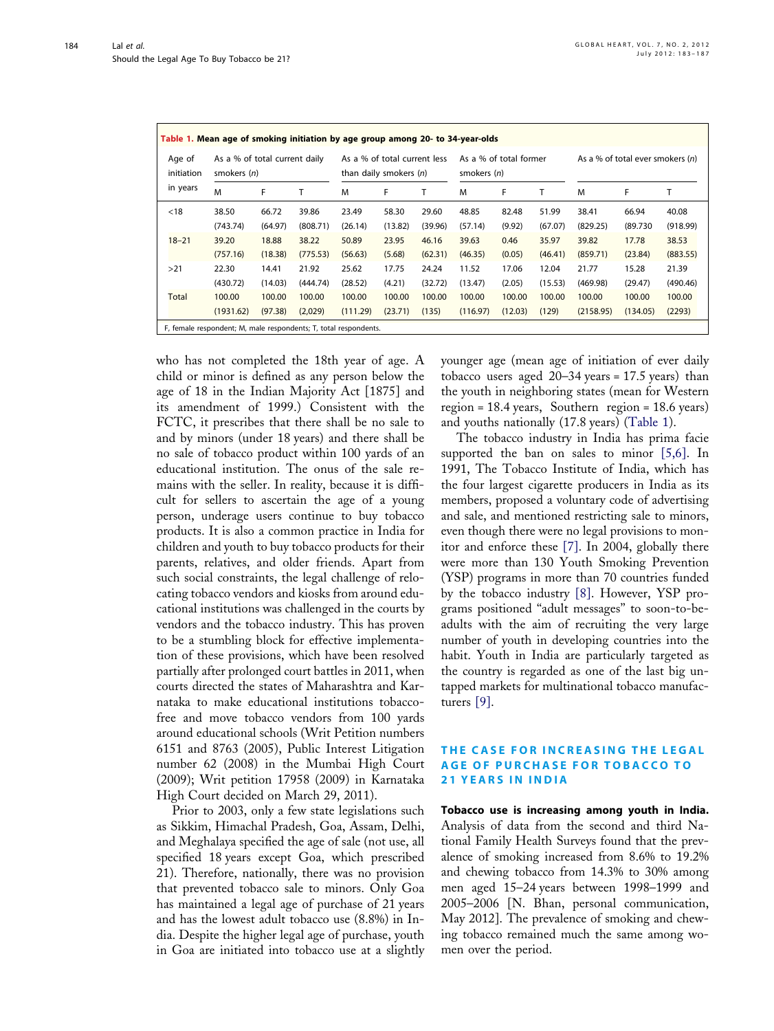<span id="page-1-0"></span>

| Age of<br>initiation<br>in years | As a % of total current daily<br>smokers (n) |         |          | As a % of total current less<br>than daily smokers (n) |         |         | As a % of total former<br>smokers (n) |         |         | As a % of total ever smokers (n) |          |          |
|----------------------------------|----------------------------------------------|---------|----------|--------------------------------------------------------|---------|---------|---------------------------------------|---------|---------|----------------------------------|----------|----------|
|                                  | M                                            | F       | т        | M                                                      | F       | т       | M                                     | F       | Т       | M                                | F        | Т        |
| < 18                             | 38.50                                        | 66.72   | 39.86    | 23.49                                                  | 58.30   | 29.60   | 48.85                                 | 82.48   | 51.99   | 38.41                            | 66.94    | 40.08    |
|                                  | (743.74)                                     | (64.97) | (808.71) | (26.14)                                                | (13.82) | (39.96) | (57.14)                               | (9.92)  | (67.07) | (829.25)                         | (89.730) | (918.99) |
| $18 - 21$                        | 39.20                                        | 18.88   | 38.22    | 50.89                                                  | 23.95   | 46.16   | 39.63                                 | 0.46    | 35.97   | 39.82                            | 17.78    | 38.53    |
|                                  | (757.16)                                     | (18.38) | (775.53) | (56.63)                                                | (5.68)  | (62.31) | (46.35)                               | (0.05)  | (46.41) | (859.71)                         | (23.84)  | (883.55) |
| >21                              | 22.30                                        | 14.41   | 21.92    | 25.62                                                  | 17.75   | 24.24   | 11.52                                 | 17.06   | 12.04   | 21.77                            | 15.28    | 21.39    |
|                                  | (430.72)                                     | (14.03) | (444.74) | (28.52)                                                | (4.21)  | (32.72) | (13.47)                               | (2.05)  | (15.53) | (469.98)                         | (29.47)  | (490.46) |
| Total                            | 100.00                                       | 100.00  | 100.00   | 100.00                                                 | 100.00  | 100.00  | 100.00                                | 100.00  | 100.00  | 100.00                           | 100.00   | 100.00   |
|                                  | (1931.62)                                    | (97.38) | (2,029)  | (111.29)                                               | (23.71) | (135)   | (116.97)                              | (12.03) | (129)   | (2158.95)                        | (134.05) | (2293)   |

who has not completed the 18th year of age. A child or minor is defined as any person below the age of 18 in the Indian Majority Act [1875] and its amendment of 1999.) Consistent with the FCTC, it prescribes that there shall be no sale to and by minors (under 18 years) and there shall be no sale of tobacco product within 100 yards of an educational institution. The onus of the sale remains with the seller. In reality, because it is difficult for sellers to ascertain the age of a young person, underage users continue to buy tobacco products. It is also a common practice in India for children and youth to buy tobacco products for their parents, relatives, and older friends. Apart from such social constraints, the legal challenge of relocating tobacco vendors and kiosks from around educational institutions was challenged in the courts by vendors and the tobacco industry. This has proven to be a stumbling block for effective implementation of these provisions, which have been resolved partially after prolonged court battles in 2011, when courts directed the states of Maharashtra and Karnataka to make educational institutions tobaccofree and move tobacco vendors from 100 yards around educational schools (Writ Petition numbers 6151 and 8763 (2005), Public Interest Litigation number 62 (2008) in the Mumbai High Court (2009); Writ petition 17958 (2009) in Karnataka High Court decided on March 29, 2011).

Prior to 2003, only a few state legislations such as Sikkim, Himachal Pradesh, Goa, Assam, Delhi, and Meghalaya specified the age of sale (not use, all specified 18 years except Goa, which prescribed 21). Therefore, nationally, there was no provision that prevented tobacco sale to minors. Only Goa has maintained a legal age of purchase of 21 years and has the lowest adult tobacco use (8.8%) in India. Despite the higher legal age of purchase, youth in Goa are initiated into tobacco use at a slightly younger age (mean age of initiation of ever daily tobacco users aged  $20-34$  years = 17.5 years) than the youth in neighboring states (mean for Western region = 18.4 years, Southern region = 18.6 years) and youths nationally (17.8 years) (Table 1).

The tobacco industry in India has prima facie supported the ban on sales to minor [\[5,6\]](#page-3-0). In 1991, The Tobacco Institute of India, which has the four largest cigarette producers in India as its members, proposed a voluntary code of advertising and sale, and mentioned restricting sale to minors, even though there were no legal provisions to monitor and enforce these [\[7\]](#page-4-0). In 2004, globally there were more than 130 Youth Smoking Prevention (YSP) programs in more than 70 countries funded by the tobacco industry [\[8\].](#page-4-0) However, YSP programs positioned ''adult messages'' to soon-to-beadults with the aim of recruiting the very large number of youth in developing countries into the habit. Youth in India are particularly targeted as the country is regarded as one of the last big untapped markets for multinational tobacco manufacturers [\[9\].](#page-4-0)

### THE CASE FOR INCREASING THE LEGAL AGE OF PURCHASE FOR TOBACCO TO 21 YEARS IN INDIA

Tobacco use is increasing among youth in India. Analysis of data from the second and third National Family Health Surveys found that the prevalence of smoking increased from 8.6% to 19.2% and chewing tobacco from 14.3% to 30% among men aged 15–24 years between 1998–1999 and 2005–2006 [N. Bhan, personal communication, May 2012]. The prevalence of smoking and chewing tobacco remained much the same among women over the period.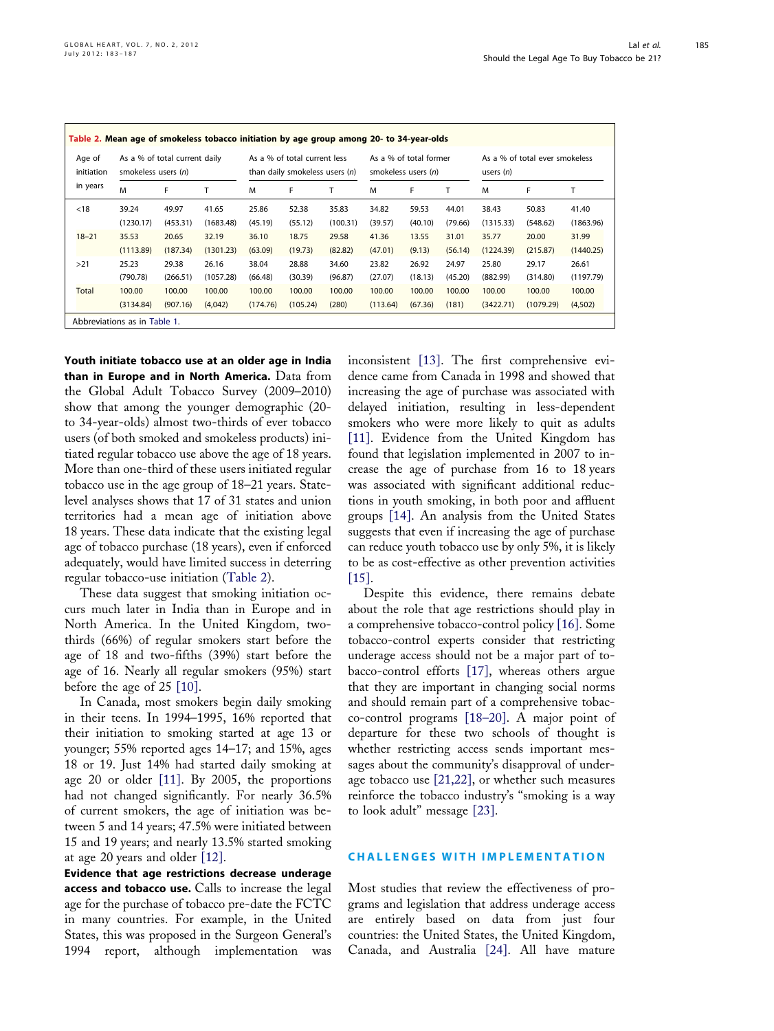| Age of<br>initiation<br>in years | As a % of total current daily<br>smokeless users (n) |          |           | As a % of total current less<br>than daily smokeless users (n) |          |          | As a % of total former<br>smokeless users (n) |         |         | As a % of total ever smokeless<br>users $(n)$ |           |           |
|----------------------------------|------------------------------------------------------|----------|-----------|----------------------------------------------------------------|----------|----------|-----------------------------------------------|---------|---------|-----------------------------------------------|-----------|-----------|
|                                  | M                                                    | F        | т         | M                                                              | F        | T        | M                                             | F       | т       | M                                             | F         |           |
| < 18                             | 39.24                                                | 49.97    | 41.65     | 25.86                                                          | 52.38    | 35.83    | 34.82                                         | 59.53   | 44.01   | 38.43                                         | 50.83     | 41.40     |
|                                  | (1230.17)                                            | (453.31) | (1683.48) | (45.19)                                                        | (55.12)  | (100.31) | (39.57)                                       | (40.10) | (79.66) | (1315.33)                                     | (548.62)  | (1863.96) |
| $18 - 21$                        | 35.53                                                | 20.65    | 32.19     | 36.10                                                          | 18.75    | 29.58    | 41.36                                         | 13.55   | 31.01   | 35.77                                         | 20.00     | 31.99     |
|                                  | (1113.89)                                            | (187.34) | (1301.23) | (63.09)                                                        | (19.73)  | (82.82)  | (47.01)                                       | (9.13)  | (56.14) | (1224.39)                                     | (215.87)  | (1440.25) |
| >21                              | 25.23                                                | 29.38    | 26.16     | 38.04                                                          | 28.88    | 34.60    | 23.82                                         | 26.92   | 24.97   | 25.80                                         | 29.17     | 26.61     |
|                                  | (790.78)                                             | (266.51) | (1057.28) | (66.48)                                                        | (30.39)  | (96.87)  | (27.07)                                       | (18.13) | (45.20) | (882.99)                                      | (314.80)  | (1197.79) |
| Total                            | 100.00                                               | 100.00   | 100.00    | 100.00                                                         | 100.00   | 100.00   | 100.00                                        | 100.00  | 100.00  | 100.00                                        | 100.00    | 100.00    |
|                                  | (3134.84)                                            | (907.16) | (4,042)   | (174.76)                                                       | (105.24) | (280)    | (113.64)                                      | (67.36) | (181)   | (3422.71)                                     | (1079.29) | (4,502)   |

Youth initiate tobacco use at an older age in India than in Europe and in North America. Data from the Global Adult Tobacco Survey (2009–2010) show that among the younger demographic (20 to 34-year-olds) almost two-thirds of ever tobacco users (of both smoked and smokeless products) initiated regular tobacco use above the age of 18 years. More than one-third of these users initiated regular tobacco use in the age group of 18–21 years. Statelevel analyses shows that 17 of 31 states and union territories had a mean age of initiation above 18 years. These data indicate that the existing legal age of tobacco purchase (18 years), even if enforced adequately, would have limited success in deterring regular tobacco-use initiation (Table 2).

These data suggest that smoking initiation occurs much later in India than in Europe and in North America. In the United Kingdom, twothirds (66%) of regular smokers start before the age of 18 and two-fifths (39%) start before the age of 16. Nearly all regular smokers (95%) start before the age of 25 [\[10\].](#page-4-0)

In Canada, most smokers begin daily smoking in their teens. In 1994–1995, 16% reported that their initiation to smoking started at age 13 or younger; 55% reported ages 14–17; and 15%, ages 18 or 19. Just 14% had started daily smoking at age 20 or older [\[11\]](#page-4-0). By 2005, the proportions had not changed significantly. For nearly 36.5% of current smokers, the age of initiation was between 5 and 14 years; 47.5% were initiated between 15 and 19 years; and nearly 13.5% started smoking at age 20 years and older [\[12\].](#page-4-0)

Evidence that age restrictions decrease underage access and tobacco use. Calls to increase the legal age for the purchase of tobacco pre-date the FCTC in many countries. For example, in the United States, this was proposed in the Surgeon General's 1994 report, although implementation was

inconsistent [\[13\]](#page-4-0). The first comprehensive evidence came from Canada in 1998 and showed that increasing the age of purchase was associated with delayed initiation, resulting in less-dependent smokers who were more likely to quit as adults [\[11\].](#page-4-0) Evidence from the United Kingdom has found that legislation implemented in 2007 to increase the age of purchase from 16 to 18 years was associated with significant additional reductions in youth smoking, in both poor and affluent groups [\[14\]](#page-4-0). An analysis from the United States suggests that even if increasing the age of purchase can reduce youth tobacco use by only 5%, it is likely to be as cost-effective as other prevention activities [\[15\].](#page-4-0)

Despite this evidence, there remains debate about the role that age restrictions should play in a comprehensive tobacco-control policy [\[16\].](#page-4-0) Some tobacco-control experts consider that restricting underage access should not be a major part of tobacco-control efforts [\[17\]](#page-4-0), whereas others argue that they are important in changing social norms and should remain part of a comprehensive tobacco-control programs [\[18–20\].](#page-4-0) A major point of departure for these two schools of thought is whether restricting access sends important messages about the community's disapproval of underage tobacco use [\[21,22\]](#page-4-0), or whether such measures reinforce the tobacco industry's ''smoking is a way to look adult'' message [\[23\].](#page-4-0)

#### CHALLENGES WITH IMPLEMENTATION

Most studies that review the effectiveness of programs and legislation that address underage access are entirely based on data from just four countries: the United States, the United Kingdom, Canada, and Australia [\[24\].](#page-4-0) All have mature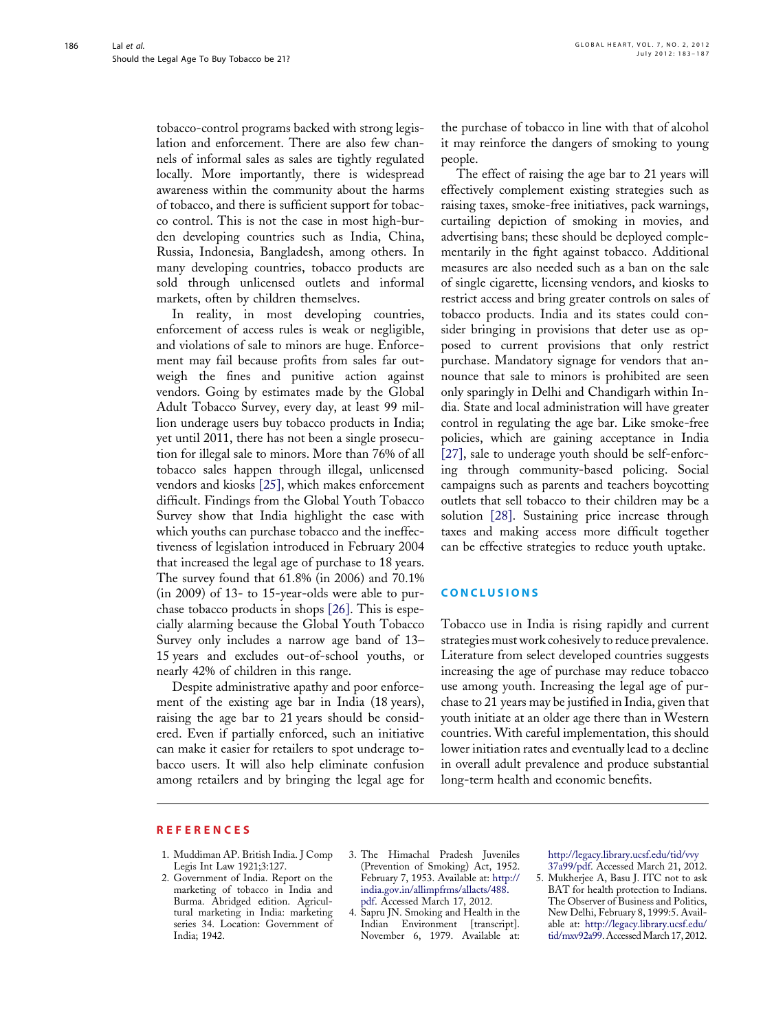<span id="page-3-0"></span>tobacco-control programs backed with strong legislation and enforcement. There are also few channels of informal sales as sales are tightly regulated locally. More importantly, there is widespread awareness within the community about the harms of tobacco, and there is sufficient support for tobacco control. This is not the case in most high-burden developing countries such as India, China, Russia, Indonesia, Bangladesh, among others. In many developing countries, tobacco products are sold through unlicensed outlets and informal markets, often by children themselves.

In reality, in most developing countries, enforcement of access rules is weak or negligible, and violations of sale to minors are huge. Enforcement may fail because profits from sales far outweigh the fines and punitive action against vendors. Going by estimates made by the Global Adult Tobacco Survey, every day, at least 99 million underage users buy tobacco products in India; yet until 2011, there has not been a single prosecution for illegal sale to minors. More than 76% of all tobacco sales happen through illegal, unlicensed vendors and kiosks [\[25\]](#page-4-0), which makes enforcement difficult. Findings from the Global Youth Tobacco Survey show that India highlight the ease with which youths can purchase tobacco and the ineffectiveness of legislation introduced in February 2004 that increased the legal age of purchase to 18 years. The survey found that 61.8% (in 2006) and 70.1% (in 2009) of 13- to 15-year-olds were able to purchase tobacco products in shops [\[26\]](#page-4-0). This is especially alarming because the Global Youth Tobacco Survey only includes a narrow age band of 13– 15 years and excludes out-of-school youths, or nearly 42% of children in this range.

Despite administrative apathy and poor enforcement of the existing age bar in India (18 years), raising the age bar to 21 years should be considered. Even if partially enforced, such an initiative can make it easier for retailers to spot underage tobacco users. It will also help eliminate confusion among retailers and by bringing the legal age for the purchase of tobacco in line with that of alcohol it may reinforce the dangers of smoking to young people.

The effect of raising the age bar to 21 years will effectively complement existing strategies such as raising taxes, smoke-free initiatives, pack warnings, curtailing depiction of smoking in movies, and advertising bans; these should be deployed complementarily in the fight against tobacco. Additional measures are also needed such as a ban on the sale of single cigarette, licensing vendors, and kiosks to restrict access and bring greater controls on sales of tobacco products. India and its states could consider bringing in provisions that deter use as opposed to current provisions that only restrict purchase. Mandatory signage for vendors that announce that sale to minors is prohibited are seen only sparingly in Delhi and Chandigarh within India. State and local administration will have greater control in regulating the age bar. Like smoke-free policies, which are gaining acceptance in India [\[27\],](#page-4-0) sale to underage youth should be self-enforcing through community-based policing. Social campaigns such as parents and teachers boycotting outlets that sell tobacco to their children may be a solution [\[28\].](#page-4-0) Sustaining price increase through taxes and making access more difficult together can be effective strategies to reduce youth uptake.

#### **CONCLUSIONS**

Tobacco use in India is rising rapidly and current strategies must work cohesively to reduce prevalence. Literature from select developed countries suggests increasing the age of purchase may reduce tobacco use among youth. Increasing the legal age of purchase to 21 years may be justified in India, given that youth initiate at an older age there than in Western countries. With careful implementation, this should lower initiation rates and eventually lead to a decline in overall adult prevalence and produce substantial long-term health and economic benefits.

#### **REFERENCES**

- 1. Muddiman AP. British India. J Comp Legis Int Law 1921;3:127.
- 2. Government of India. Report on the marketing of tobacco in India and Burma. Abridged edition. Agricultural marketing in India: marketing series 34. Location: Government of India; 1942.
- 3. The Himachal Pradesh Juveniles (Prevention of Smoking) Act, 1952. February 7, 1953. Available at: [http://](http://india.gov.in/allimpfrms/allacts/488.pdf) [india.gov.in/allimpfrms/allacts/488.](http://india.gov.in/allimpfrms/allacts/488.pdf) [pdf](http://india.gov.in/allimpfrms/allacts/488.pdf). Accessed March 17, 2012.
- 4. Sapru JN. Smoking and Health in the Indian Environment [transcript]. November 6, 1979. Available at:

[http://legacy.library.ucsf.edu/tid/vvy](http://legacy.library.ucsf.edu/tid/vvy37a99/pdf) [37a99/pdf.](http://legacy.library.ucsf.edu/tid/vvy37a99/pdf) Accessed March 21, 2012.

5. Mukherjee A, Basu J. ITC not to ask BAT for health protection to Indians. The Observer of Business and Politics, New Delhi, February 8, 1999:5. Available at: [http://legacy.library.ucsf.edu/](http://legacy.library.ucsf.edu/tid/mxv92a99) [tid/mxv92a99](http://legacy.library.ucsf.edu/tid/mxv92a99). Accessed March 17, 2012.